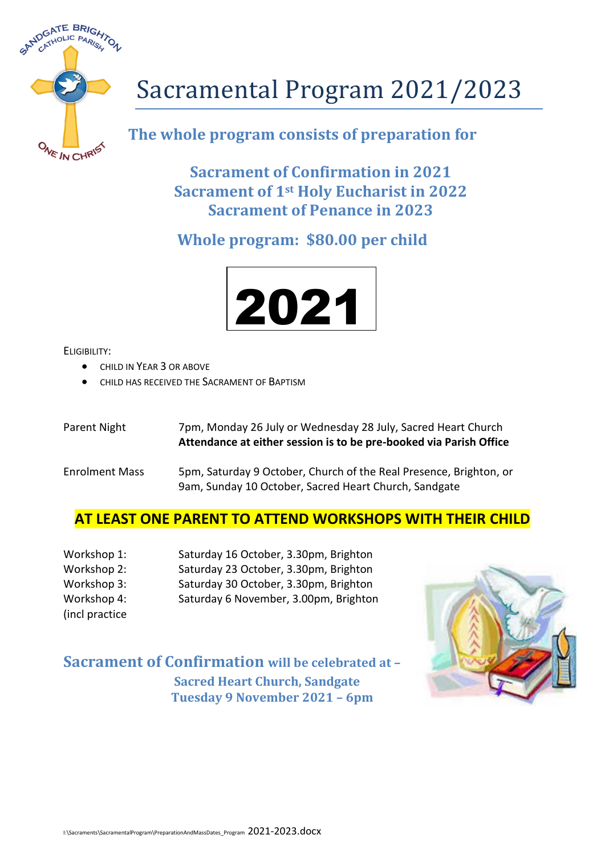

# Sacramental Program 2021/2023

# **The whole program consists of preparation for**

**Sacrament of Confirmation in 2021 Sacrament of 1st Holy Eucharist in 2022 Sacrament of Penance in 2023**

# **Whole program: \$80.00 per child**



ELIGIBILITY:

- $\bullet$  CHILD IN YEAR 3 OR ABOVE
- **CHILD HAS RECEIVED THE SACRAMENT OF BAPTISM**

Parent Night 7pm, Monday 26 July or Wednesday 28 July, Sacred Heart Church **Attendance at either session is to be pre-booked via Parish Office**

Enrolment Mass 5pm, Saturday 9 October, Church of the Real Presence, Brighton, or 9am, Sunday 10 October, Sacred Heart Church, Sandgate

### **AT LEAST ONE PARENT TO ATTEND WORKSHOPS WITH THEIR CHILD**

| Workshop 1:                            | Saturday 16 October, 3.30pm, Brighton |
|----------------------------------------|---------------------------------------|
| Workshop 2:                            | Saturday 23 October, 3.30pm, Brighton |
| Workshop 3:                            | Saturday 30 October, 3.30pm, Brighton |
| Workshop 4:                            | Saturday 6 November, 3.00pm, Brighton |
| $\mathbf{r}$ . The set of $\mathbf{r}$ |                                       |

(incl practice

**Sacrament of Confirmation will be celebrated at – Sacred Heart Church, Sandgate Tuesday 9 November 2021 – 6pm**

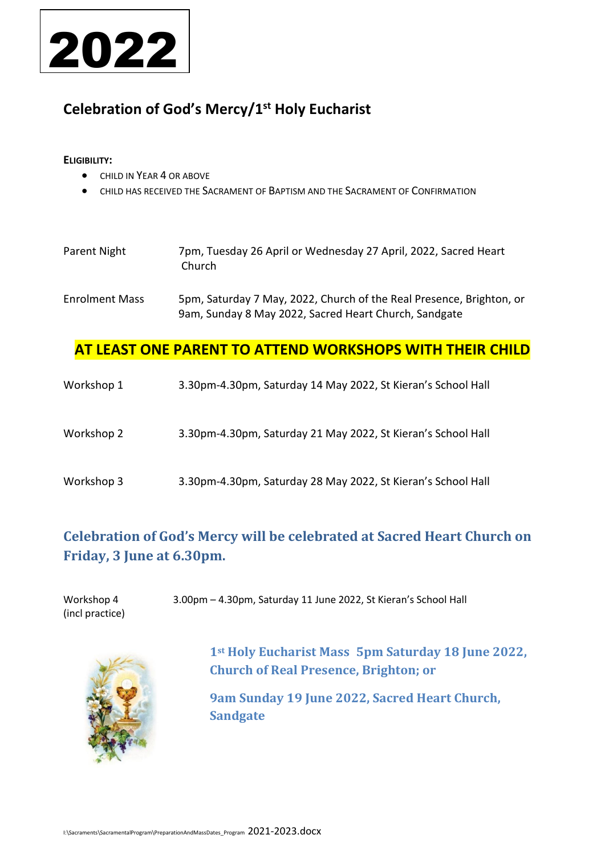

# **Celebration of God's Mercy/1st Holy Eucharist**

#### **ELIGIBILITY:**

- **CHILD IN YEAR 4 OR ABOVE**
- CHILD HAS RECEIVED THE SACRAMENT OF BAPTISM AND THE SACRAMENT OF CONFIRMATION

| Parent Night          | 7pm, Tuesday 26 April or Wednesday 27 April, 2022, Sacred Heart<br>Church                                                     |
|-----------------------|-------------------------------------------------------------------------------------------------------------------------------|
| <b>Enrolment Mass</b> | 5pm, Saturday 7 May, 2022, Church of the Real Presence, Brighton, or<br>9am, Sunday 8 May 2022, Sacred Heart Church, Sandgate |

#### **AT LEAST ONE PARENT TO ATTEND WORKSHOPS WITH THEIR CHILD**

| Workshop 1 | 3.30pm-4.30pm, Saturday 14 May 2022, St Kieran's School Hall |
|------------|--------------------------------------------------------------|
| Workshop 2 | 3.30pm-4.30pm, Saturday 21 May 2022, St Kieran's School Hall |
| Workshop 3 | 3.30pm-4.30pm, Saturday 28 May 2022, St Kieran's School Hall |

# **Celebration of God's Mercy will be celebrated at Sacred Heart Church on Friday, 3 June at 6.30pm.**

| Workshop 4      | 3.00pm - 4.30pm, Saturday 11 June 2022, St Kieran's School Hall |
|-----------------|-----------------------------------------------------------------|
| (incl practice) |                                                                 |



**1st Holy Eucharist Mass 5pm Saturday 18 June 2022, Church of Real Presence, Brighton; or**

**9am Sunday 19 June 2022, Sacred Heart Church, Sandgate**